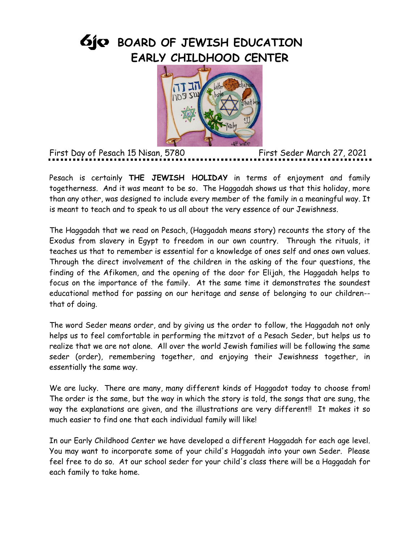## **BOARD OF JEWISH EDUCATION EARLY CHILDHOOD CENTER**



First Day of Pesach 15 Nisan, 5780 First Seder March 27, 2021

Pesach is certainly **THE JEWISH HOLIDAY** in terms of enjoyment and family togetherness. And it was meant to be so. The Haggadah shows us that this holiday, more than any other, was designed to include every member of the family in a meaningful way. It is meant to teach and to speak to us all about the very essence of our Jewishness.

The Haggadah that we read on Pesach, (Haggadah means story) recounts the story of the Exodus from slavery in Egypt to freedom in our own country. Through the rituals, it teaches us that to remember is essential for a knowledge of ones self and ones own values. Through the direct involvement of the children in the asking of the four questions, the finding of the Afikomen, and the opening of the door for Elijah, the Haggadah helps to focus on the importance of the family. At the same time it demonstrates the soundest educational method for passing on our heritage and sense of belonging to our children- that of doing.

The word Seder means order, and by giving us the order to follow, the Haggadah not only helps us to feel comfortable in performing the mitzvot of a Pesach Seder, but helps us to realize that we are not alone. All over the world Jewish families will be following the same seder (order), remembering together, and enjoying their Jewishness together, in essentially the same way.

We are lucky. There are many, many different kinds of Haggadot today to choose from! The order is the same, but the way in which the story is told, the songs that are sung, the way the explanations are given, and the illustrations are very different!! It makes it so much easier to find one that each individual family will like!

In our Early Childhood Center we have developed a different Haggadah for each age level. You may want to incorporate some of your child's Haggadah into your own Seder. Please feel free to do so. At our school seder for your child's class there will be a Haggadah for each family to take home.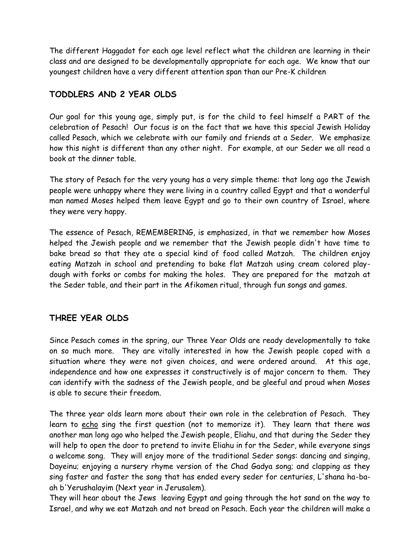The different Haggadot for each age level reflect what the children are learning in their class and are designed to be developmentally appropriate for each age. We know that our youngest children have a very different attention span than our Pre-K children

## **TODDLERS AND 2 YEAR OLDS**

Our goal for this young age, simply put, is for the child to feel himself a PART of the celebration of Pesach! Our focus is on the fact that we have this special Jewish Holiday called Pesach, which we celebrate with our family and friends at a Seder. We emphasize how this night is different than any other night. For example, at our Seder we all read a book at the dinner table.

The story of Pesach for the very young has a very simple theme: that long ago the Jewish people were unhappy where they were living in a country called Egypt and that a wonderful man named Moses helped them leave Egypt and go to their own country of Israel, where they were very happy.

The essence of Pesach, REMEMBERING, is emphasized, in that we remember how Moses helped the Jewish people and we remember that the Jewish people didn't have time to bake bread so that they ate a special kind of food called Matzah. The children enjoy eating Matzah in school and pretending to bake flat Matzah using cream colored playdough with forks or combs for making the holes. They are prepared for the matzah at the Seder table, and their part in the Afikomen ritual, through fun songs and games.

## **THREE YEAR OLDS**

Since Pesach comes in the spring, our Three Year Olds are ready developmentally to take on so much more. They are vitally interested in how the Jewish people coped with a situation where they were not given choices, and were ordered around. At this age, independence and how one expresses it constructively is of major concern to them. They can identify with the sadness of the Jewish people, and be gleeful and proud when Moses is able to secure their freedom.

The three year olds learn more about their own role in the celebration of Pesach. They learn to echo sing the first question (not to memorize it). They learn that there was another man long ago who helped the Jewish people, Eliahu, and that during the Seder they will help to open the door to pretend to invite Eliahu in for the Seder, while everyone sings a welcome song. They will enjoy more of the traditional Seder songs: dancing and singing, Dayeinu; enjoying a nursery rhyme version of the Chad Gadya song; and clapping as they sing faster and faster the song that has ended every seder for centuries, L'shana ha-baah b'Yerushalayim (Next year in Jerusalem).

They will hear about the Jews leaving Egypt and going through the hot sand on the way to Israel, and why we eat Matzah and not bread on Pesach. Each year the children will make a